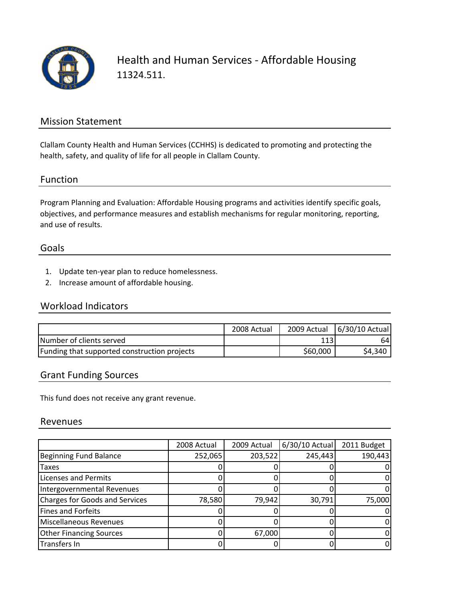

Health and Human Services ‐ Affordable Housing 11324.511.

### Mission Statement

Clallam County Health and Human Services (CCHHS) is dedicated to promoting and protecting the health, safety, and quality of life for all people in Clallam County.

#### Function

Program Planning and Evaluation: Affordable Housing programs and activities identify specific goals, objectives, and performance measures and establish mechanisms for regular monitoring, reporting, and use of results.

#### Goals

- 1. Update ten‐year plan to reduce homelessness.
- 2. Increase amount of affordable housing.

## Workload Indicators

|                                              | 2008 Actual |          | 2009 Actual   6/30/10 Actual |
|----------------------------------------------|-------------|----------|------------------------------|
| Number of clients served                     |             | 113      | 64                           |
| Funding that supported construction projects |             | \$60,000 | \$4,340                      |

#### Grant Funding Sources

This fund does not receive any grant revenue.

#### Revenues

|                                       | 2008 Actual | 2009 Actual | 6/30/10 Actual | 2011 Budget |
|---------------------------------------|-------------|-------------|----------------|-------------|
| <b>Beginning Fund Balance</b>         | 252,065     | 203,522     | 245,443        | 190,443     |
| <b>Taxes</b>                          |             |             |                |             |
| <b>Licenses and Permits</b>           |             |             |                |             |
| <b>Intergovernmental Revenues</b>     |             |             |                |             |
| <b>Charges for Goods and Services</b> | 78,580      | 79,942      | 30,791         | 75,000      |
| <b>Fines and Forfeits</b>             |             |             |                |             |
| Miscellaneous Revenues                |             |             |                |             |
| <b>Other Financing Sources</b>        |             | 67,000      |                |             |
| Transfers In                          |             |             |                |             |